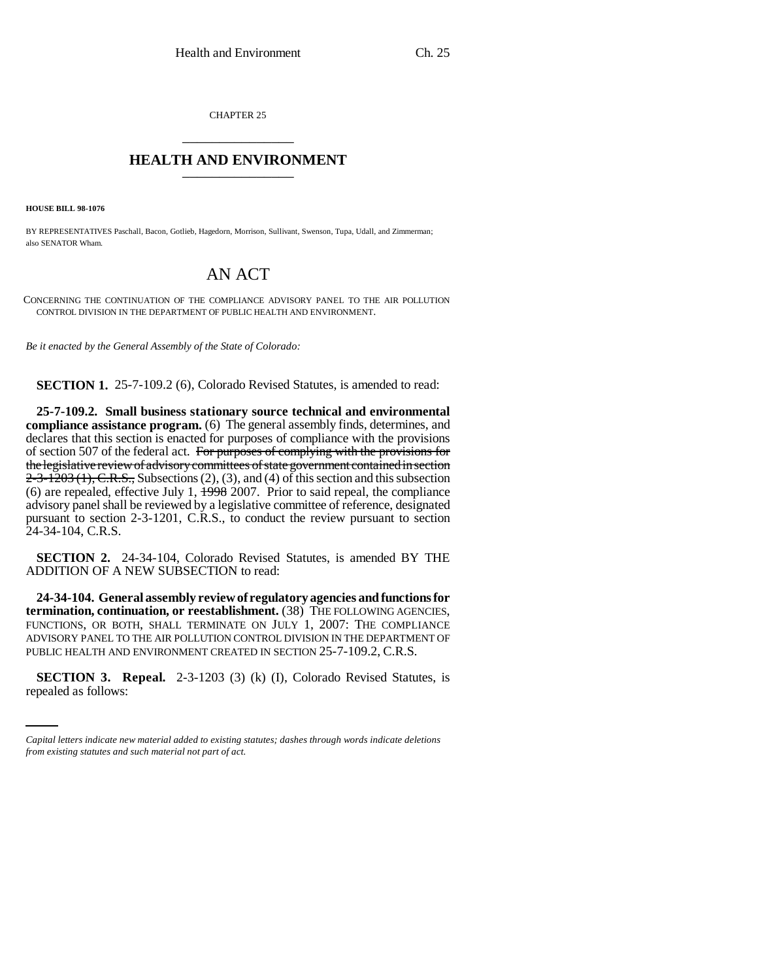CHAPTER 25 \_\_\_\_\_\_\_\_\_\_\_\_\_\_\_

## **HEALTH AND ENVIRONMENT** \_\_\_\_\_\_\_\_\_\_\_\_\_\_\_

**HOUSE BILL 98-1076**

BY REPRESENTATIVES Paschall, Bacon, Gotlieb, Hagedorn, Morrison, Sullivant, Swenson, Tupa, Udall, and Zimmerman; also SENATOR Wham.

## AN ACT

CONCERNING THE CONTINUATION OF THE COMPLIANCE ADVISORY PANEL TO THE AIR POLLUTION CONTROL DIVISION IN THE DEPARTMENT OF PUBLIC HEALTH AND ENVIRONMENT.

*Be it enacted by the General Assembly of the State of Colorado:*

**SECTION 1.** 25-7-109.2 (6), Colorado Revised Statutes, is amended to read:

**25-7-109.2. Small business stationary source technical and environmental compliance assistance program.** (6) The general assembly finds, determines, and declares that this section is enacted for purposes of compliance with the provisions of section 507 of the federal act. For purposes of complying with the provisions for the legislative review of advisory committees of state government contained in section  $2-3-1203(1)$ , C.R.S., Subsections (2), (3), and (4) of this section and this subsection (6) are repealed, effective July 1,  $\frac{1998}{2007}$ . Prior to said repeal, the compliance advisory panel shall be reviewed by a legislative committee of reference, designated pursuant to section 2-3-1201, C.R.S., to conduct the review pursuant to section 24-34-104, C.R.S.

**SECTION 2.** 24-34-104, Colorado Revised Statutes, is amended BY THE ADDITION OF A NEW SUBSECTION to read:

**24-34-104. General assembly review of regulatory agencies and functions for termination, continuation, or reestablishment.** (38) THE FOLLOWING AGENCIES, FUNCTIONS, OR BOTH, SHALL TERMINATE ON JULY 1, 2007: THE COMPLIANCE ADVISORY PANEL TO THE AIR POLLUTION CONTROL DIVISION IN THE DEPARTMENT OF PUBLIC HEALTH AND ENVIRONMENT CREATED IN SECTION 25-7-109.2, C.R.S.

**SECTION 3. Repeal.** 2-3-1203 (3) (k) (I), Colorado Revised Statutes, is repealed as follows:

*Capital letters indicate new material added to existing statutes; dashes through words indicate deletions from existing statutes and such material not part of act.*